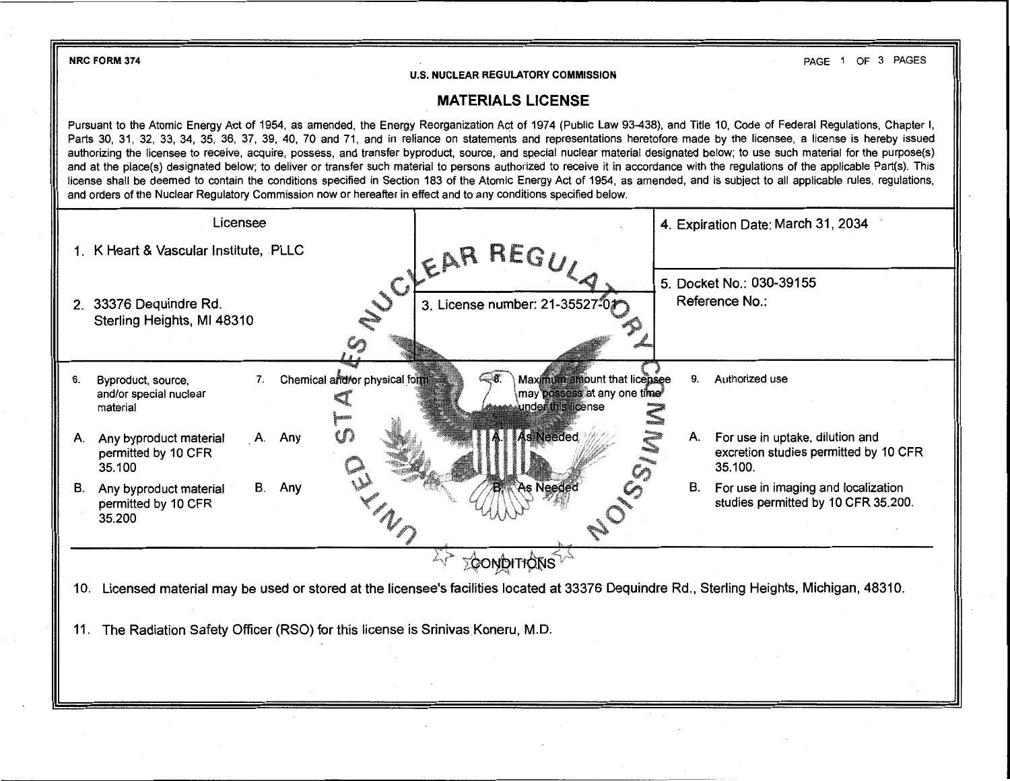**NRC FORM 374** PAGE 1 OF 3 PAGES

## **U.S. NUCLEAR REGULATORY COMMISSION**

## **MATERIALS LICENSE**

Pursuant to the Atomic Energy Act of 1954, as amended, the Energy Reorganization Act of 1974 (Public Law 93-438), and Title 10, Code of Federal Regulations, Chapter I, Parts 30, 31, 32, 33, 34, 35, 36, 37, 39, 40, 70 and 71, and in reliance on statements and representations heretofore made by the licensee, a license is hereby issued authorizing the licensee to receive, acquire, possess, and transfer byproduct, source, and special nuclear material designated below; to use such material for the purpose(s) and at the place(s) designated below; to deliver or transfer such material to persons authorized to receive it in accordance with the regulations of the applicable Part(s). This license shall be deemed to contain the conditions specified in Section 183 of the Atomic Energy Act of 1954, as amended, and is subject to all applicable rules, regulations, and orders of the Nuclear Regulatory Commission now or hereafter in effect and to any conditions specified below.



11. The Radiation Safety Officer (RSO) for this license is Srinivas Koneru, M.D.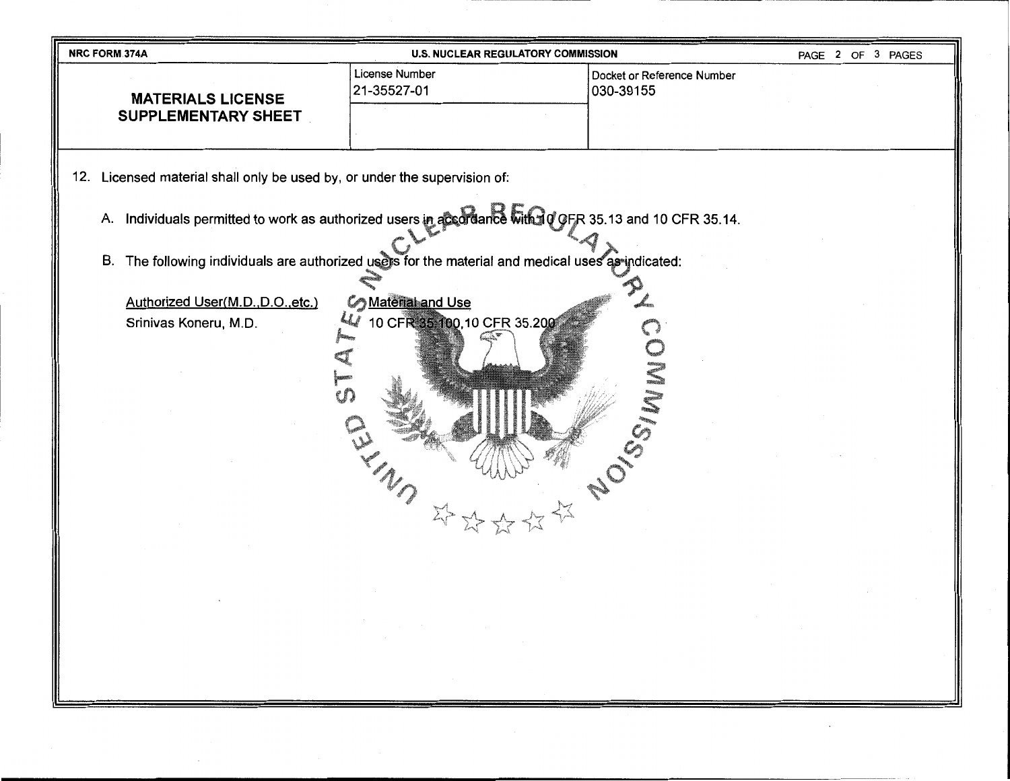| <b>NRC FORM 374A</b><br><b>U.S. NUCLEAR REGULATORY COMMISSION</b><br>PAGE 2 OF 3 PAGES                  |                                                                                                                                      |                                         |  |  |
|---------------------------------------------------------------------------------------------------------|--------------------------------------------------------------------------------------------------------------------------------------|-----------------------------------------|--|--|
| <b>MATERIALS LICENSE</b><br>SUPPLEMENTARY SHEET                                                         | License Number<br>21-35527-01                                                                                                        | Docket or Reference Number<br>030-39155 |  |  |
|                                                                                                         |                                                                                                                                      |                                         |  |  |
| 12. Licensed material shall only be used by, or under the supervision of:                               |                                                                                                                                      |                                         |  |  |
| A. Individuals permitted to work as authorized users in accordance with a g GFR 35.13 and 10 CFR 35.14. |                                                                                                                                      |                                         |  |  |
| B. The following individuals are authorized users for the material and medical uses as indicated:       |                                                                                                                                      |                                         |  |  |
| Authorized User(M.D., D.O., etc.)                                                                       | Co Material and Use                                                                                                                  |                                         |  |  |
| 10 CFR 35 100,10 CFR 35.200<br>Srinivas Koneru, M.D.                                                    |                                                                                                                                      |                                         |  |  |
|                                                                                                         |                                                                                                                                      |                                         |  |  |
|                                                                                                         |                                                                                                                                      | <b>SOMAINE REPAIRS</b>                  |  |  |
|                                                                                                         |                                                                                                                                      |                                         |  |  |
|                                                                                                         |                                                                                                                                      |                                         |  |  |
|                                                                                                         |                                                                                                                                      |                                         |  |  |
|                                                                                                         | $\mathcal{L}(\mathcal{A})$ and $\mathcal{L}(\mathcal{A})$ . In the $\mathcal{L}(\mathcal{A})$<br>and the state of<br><b>Contract</b> | <b>Contractor</b>                       |  |  |
|                                                                                                         | $\sim 10^{-11}$                                                                                                                      |                                         |  |  |

 $\mathcal{L}^{\pm}$ 

----